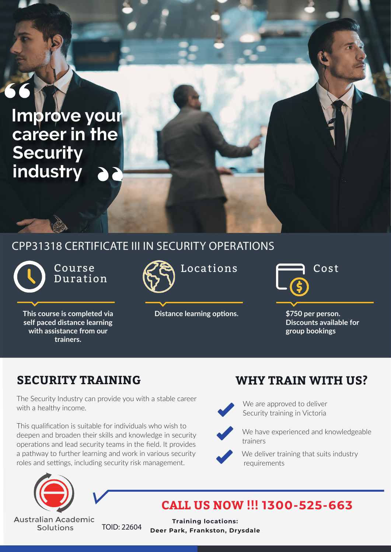## **Improve your career in the Security industry**

### CPP31318 CERTIFICATE III IN SECURITY OPERATIONS

Course Duration

**This course is completed via self paced distance learning with assistance from our trainers.**



**Distance learning options. \$750 per person.** 

Locations <del>Fig.</del> Cost

**Discounts available for group bookings**

The Security Industry can provide you with a stable career with a healthy income.

This qualification is suitable for individuals who wish to deepen and broaden their skills and knowledge in security operations and lead security teams in the field. It provides a pathway to further learning and work in various security roles and settings, including security risk management.



**Australian Academic** Solutions

#### **SECURITY TRAINING WHY TRAIN WITH US?**



We are approved to deliver Security training in Victoria



We have experienced and knowledgeable trainers



We deliver training that suits industry requirements

### **CALL US NOW !!! 1300-525-663**

TOID: 22604 **Training locations: Deer Park, Frankston, Drysdale**